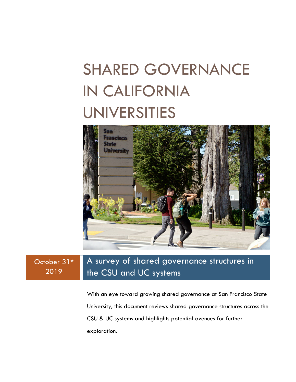# SHARED GOVERNANCE IN CALIFORNIA UNIVERSITIES



#### October 31st 2019 A survey of shared governance structures in the CSU and UC systems

With an eye toward growing shared governance at San Francisco State University, this document reviews shared governance structures across the CSU & UC systems and highlights potential avenues for further exploration.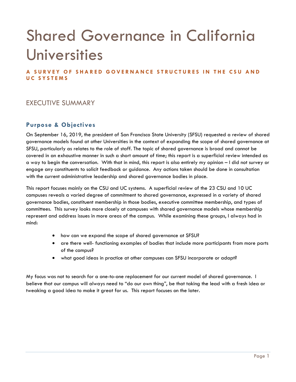# Shared Governance in California Universities

**A SURVEY OF SHARED GOVERNANCE STRUCTURES IN THE CSU AND UC SYSTEMS**

# EXECUTIVE SUMMARY

## **Purpose & Objectives**

On September 16, 2019, the president of San Francisco State University (SFSU) requested a review of shared governance models found at other Universities in the context of expanding the scope of shared governance at SFSU, particularly as relates to the role of staff. The topic of shared governance is broad and cannot be covered in an exhaustive manner in such a short amount of time; this report is a superficial review intended as a way to begin the conversation. With that in mind, this report is also entirely my opinion – I did not survey or engage any constituents to solicit feedback or guidance. Any actions taken should be done in consultation with the current administrative leadership and shared governance bodies in place.

This report focuses mainly on the CSU and UC systems. A superficial review of the 23 CSU and 10 UC campuses reveals a varied degree of commitment to shared governance, expressed in a variety of shared governance bodies, constituent membership in those bodies, executive committee membership, and types of committees. This survey looks more closely at campuses with shared governance models whose membership represent and address issues in more areas of the campus. While examining these groups, I always had in mind:

- how can we expand the scope of shared governance at SFSU?
- are there well- functioning examples of bodies that include more participants from more parts of the campus?
- what good ideas in practice at other campuses can SFSU incorporate or adapt?

My focus was not to search for a one-to-one replacement for our current model of shared governance. I believe that our campus will always need to "do our own thing", be that taking the lead with a fresh idea or tweaking a good idea to make it great for us. This report focuses on the later.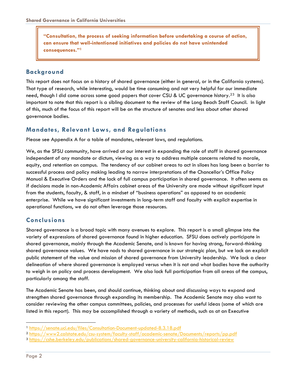**"Consultation, the process of seeking information before undertaking a course of action, can ensure that well-intentioned initiatives and policies do not have unintended consequences."[1](#page-2-0)**

## **Background**

This report does not focus on a history of shared governance (either in general, or in the California systems). That type of research, while interesting, would be time consuming and not very helpful for our immediate need, though I did come across some good papers that cover CSU & UC governance history.<sup>[2](#page-2-1)[3](#page-2-2)</sup> It is also important to note that this report is a sibling document to the review of the Long Beach Staff Council. In light of this, much of the focus of this report will be on the structure of senates and less about other shared governance bodies.

## **Mandates, Relevant Laws, and Regulations**

Please see Appendix A for a table of mandates, relevant laws, and regulations.

We, as the SFSU community, have arrived at our interest in expanding the role of staff in shared governance independent of any mandate or dictum, viewing as a way to address multiple concerns related to morale, equity, and retention on campus. The tendency of our cabinet areas to act in siloes has long been a barrier to successful process and policy making leading to narrow interpretations of the Chancellor's Office Policy Manual & Executive Orders and the lack of full campus participation in shared governance. It often seems as if decisions made in non-Academic Affairs cabinet areas of the University are made without significant input from the students, faculty, & staff, in a mindset of "business operations" as opposed to an academic enterprise. While we have significant investments in long-term staff and faculty with explicit expertise in operational functions, we do not often leverage those resources.

## **Conclusions**

Shared governance is a broad topic with many avenues to explore. This report is a small glimpse into the variety of expressions of shared governance found in higher education. SFSU does actively participate in shared governance, mainly through the Academic Senate, and is known for having strong, forward-thinking shared governance values. We have nods to shared governance in our strategic plan, but we lack an explicit public statement of the value and mission of shared governance from University leadership. We lack a clear delineation of where shared governance is employed versus when it is not and what bodies have the authority to weigh in on policy and process development. We also lack full participation from all areas of the campus, particularly among the staff.

The Academic Senate has been, and should continue, thinking about and discussing ways to expand and strengthen shared governance through expanding its membership. The Academic Senate may also want to consider reviewing the other campus committees, policies, and processes for useful ideas (some of which are listed in this report). This may be accomplished through a variety of methods, such as at an Executive

<span id="page-2-0"></span> <sup>1</sup> <https://senate.uci.edu/files/Consultation-Document-updated-8.3.18.pdf>

<span id="page-2-1"></span><sup>2</sup> <https://www2.calstate.edu/csu-system/faculty-staff/academic-senate/Documents/reports/pp.pdf>

<span id="page-2-2"></span><sup>3</sup> <https://cshe.berkeley.edu/publications/shared-governance-university-california-historical-review>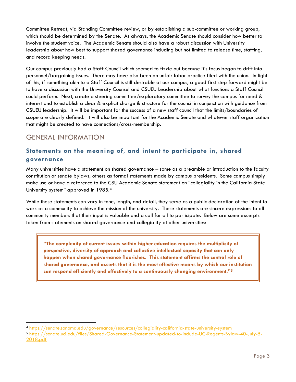Committee Retreat, via Standing Committee review, or by establishing a sub-committee or working group, which should be determined by the Senate. As always, the Academic Senate should consider how better to involve the student voice. The Academic Senate should also have a robust discussion with University leadership about how best to support shared governance including but not limited to release time, staffing, and record keeping needs.

Our campus previously had a Staff Council which seemed to fizzle out because it's focus began to drift into personnel/bargaining issues. There may have also been an unfair labor practice filed with the union. In light of this, if something akin to a Staff Council is still desirable at our campus, a good first step forward might be to have a discussion with the University Counsel and CSUEU Leadership about what functions a Staff Council could perform. Next, create a steering committee/exploratory committee to survey the campus for need & interest and to establish a clear & explicit charge & structure for the council in conjunction with guidance from CSUEU leadership. It will be important for the success of a new staff council that the limits/boundaries of scope are clearly defined. It will also be important for the Academic Senate and whatever staff organization that might be created to have connections/cross-membership.

# GENERAL INFORMATION

# **Statements on the meaning of, and intent to participate in, shared governance**

Many universities have a statement on shared governance – some as a preamble or introduction to the faculty constitution or senate bylaws; others as formal statements made by campus presidents. Some campus simply make use or have a reference to the CSU Academic Senate statement on "collegiality in the California State University system" approved in 1985.[4](#page-3-0)

While these statements can vary in tone, length, and detail, they serve as a public declaration of the intent to work as a community to achieve the mission of the university. These statements are sincere expressions to all community members that their input is valuable and a call for all to participate. Below are some excerpts taken from statements on shared governance and collegiality at other universities:

**"The complexity of current issues within higher education requires the multiplicity of perspective, diversity of approach and collective intellectual capacity that can only happen when shared governance flourishes. This statement affirms the central role of shared governance, and asserts that it is the most effective means by which our institution can respond efficiently and effectively to a continuously changing environment.["5](#page-3-1)**

<span id="page-3-0"></span> <sup>4</sup> <https://senate.sonoma.edu/governance/resources/collegiality-california-state-university-system>

<span id="page-3-1"></span><sup>5</sup> [https://senate.uci.edu/files/Shared-Governance-Statement-updated-to-include-UC-Regents-Bylaw-40-July-5-](https://senate.uci.edu/files/Shared-Governance-Statement-updated-to-include-UC-Regents-Bylaw-40-July-5-2018.pdf) [2018.pdf](https://senate.uci.edu/files/Shared-Governance-Statement-updated-to-include-UC-Regents-Bylaw-40-July-5-2018.pdf)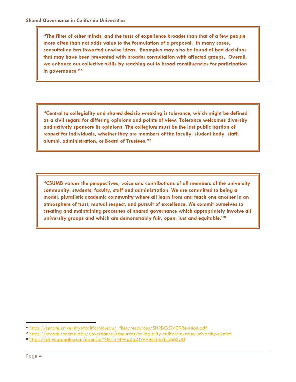**"The filter of other minds, and the tests of experience broader than that of a few people more often than not adds value to the formulation of a proposal. In many cases, consultation has thwarted unwise ideas. Examples may also be found of bad decisions that may have been prevented with broader consultation with affected groups. Overall, we enhance our collective skills by reaching out to broad constituencies for participation in governance."[6](#page-4-0)**

**"Central to collegiality and shared decision-making is tolerance, which might be defined as a civil regard for differing opinions and points of view. Tolerance welcomes diversity and actively sponsors its opinions. The collegium must be the last public bastion of respect for individuals, whether they are members of the faculty, student body, staff, alumni, administration, or Board of Trustees."[7](#page-4-1)**

**"CSUMB values the perspectives, voice and contributions of all members of the university community: students, faculty, staff and administration. We are committed to being a model, pluralistic academic community where all learn from and teach one another in an atmosphere of trust, mutual respect, and pursuit of excellence. We commit ourselves to creating and maintaining processes of shared governance which appropriately involve all university groups and which are demonstrably fair, open, just and equitable."[8](#page-4-2)**

<span id="page-4-0"></span> <sup>6</sup> [https://senate.universityofcalifornia.edu/\\_files/resources/SHRDGOV09Revision.pdf](https://senate.universityofcalifornia.edu/_files/resources/SHRDGOV09Revision.pdf)

<span id="page-4-1"></span><sup>7</sup> <https://senate.sonoma.edu/governance/resources/collegiality-california-state-university-system>

<span id="page-4-2"></span><sup>8</sup> [https://drive.google.com/open?id=0B\\_eT4WgZg2JWVmhibExfcDh6SUU](https://drive.google.com/open?id=0B_eT4WgZg2JWVmhibExfcDh6SUU)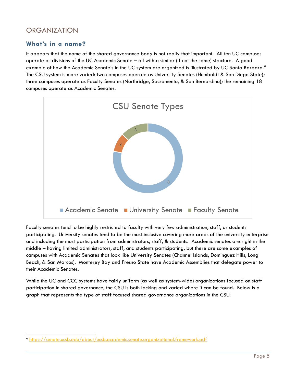# ORGANIZATION

## **What's in a name?**

It appears that the name of the shared governance body is not really that important. All ten UC campuses operate as divisions of the UC Academic Senate – all with a similar (if not the same) structure. A good example of how the Academic Senate's in the UC system are organized is illustrated by UC Santa Barbara.<sup>9</sup> The CSU system is more varied: two campuses operate as University Senates (Humboldt & San Diego State); three campuses operate as Faculty Senates (Northridge, Sacramento, & San Bernardino); the remaining 18 campuses operate as Academic Senates.



Faculty senates tend to be highly restricted to faculty with very few administration, staff, or students participating. University senates tend to be the most inclusive covering more areas of the university enterprise and including the most participation from administrators, staff, & students. Academic senates are right in the middle – having limited administrators, staff, and students participating, but there are some examples of campuses with Academic Senates that look like University Senates (Channel Islands, Dominguez Hills, Long Beach, & San Marcos). Monterey Bay and Fresno State have Academic Assemblies that delegate power to their Academic Senates.

While the UC and CCC systems have fairly uniform (as well as system-wide) organizations focused on staff participation in shared governance, the CSU is both lacking and varied where it can be found. Below is a graph that represents the type of staff focused shared governance organizations in the CSU:

<span id="page-5-0"></span> <sup>9</sup> <https://senate.ucsb.edu/about/ucsb.academic.senate.organizational.framework.pdf>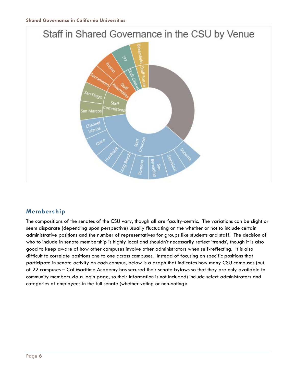# Staff in Shared Governance in the CSU by Venue <sup>San Diego</sub></sup> Staff ommittee San Marco Channel Islands ∝

# **Membership**

The compositions of the senates of the CSU vary, though all are faculty-centric. The variations can be slight or seem disparate (depending upon perspective) usually fluctuating on the whether or not to include certain administrative positions and the number of representatives for groups like students and staff. The decision of who to include in senate membership is highly local and shouldn't necessarily reflect 'trends', though it is also good to keep aware of how other campuses involve other administrators when self-reflecting. It is also difficult to correlate positions one to one across campuses. Instead of focusing on specific positions that participate in senate activity on each campus, below is a graph that indicates how many CSU campuses (out of 22 campuses – Cal Maritime Academy has secured their senate bylaws so that they are only available to community members via a login page, so their information is not included) include select administrators and categories of employees in the full senate (whether voting or non-voting):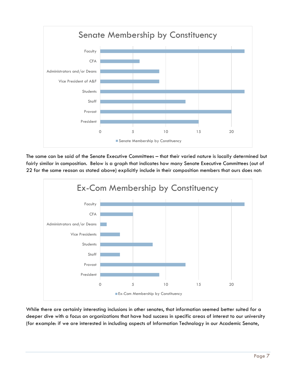

The same can be said of the Senate Executive Committees – that their varied nature is locally determined but fairly similar in composition. Below is a graph that indicates how many Senate Executive Committees (out of 22 for the same reason as stated above) explicitly include in their composition members that ours does not:



While there are certainly interesting inclusions in other senates, that information seemed better suited for a deeper dive with a focus on organizations that have had success in specific areas of interest to our university (for example: if we are interested in including aspects of Information Technology in our Academic Senate,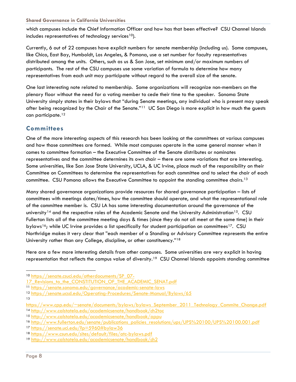#### **Shared Governance in California Universities**

which campuses include the Chief Information Officer and how has that been effective? CSU Channel Islands includes representatives of technology services<sup>10</sup>).

Currently, 6 out of 22 campuses have explicit numbers for senate membership (including us). Some campuses, like Chico, East Bay, Humboldt, Los Angeles, & Pomona, use a set number for faculty representatives distributed among the units. Others, such as us & San Jose, set minimum and/or maximum numbers of participants. The rest of the CSU campuses use some variation of formula to determine how many representatives from each unit may participate without regard to the overall size of the senate.

One last interesting note related to membership. Some organizations will recognize non-members on the plenary floor without the need for a voting member to cede their time to the speaker. Sonoma State University simply states in their bylaws that "during Senate meetings, any individual who is present may speak after being recognized by the Chair of the Senate."<sup>11</sup> UC San Diego is more explicit in how much the guests can participate.<sup>[12](#page-8-2)</sup>

## **Committees**

One of the more interesting aspects of this research has been looking at the committees at various campuses and how those committees are formed. While most campuses operate in the same general manner when it comes to committee formation – the Executive Committee of the Senate distributes or nominates representatives and the committee determines its own chair – there are some variations that are interesting. Some universities, like San Jose State University, UCLA, & UC Irvine, place much of the responsibility on their Committee on Committees to determine the representatives for each committee and to select the chair of each committee. CSU Pomona allows the Executive Committee to appoint the standing committee chairs.<sup>[13](#page-8-3)</sup>

Many shared governance organizations provide resources for shared governance participation – lists of committees with meetings dates/times, how the committee should operate, and what the representational role of the committee member is. CSU LA has some interesting documentation around the governance of the university<sup>[14](#page-8-4)</sup> and the respective roles of the Academic Senate and the University Administration<sup>[15](#page-8-5)</sup>. CSU Fullerton lists all of the committee meeting days & times (since they do not all meet at the same time) in their bylaws<sup>[16](#page-8-6)</sup>; while UC Irvine provides a list specifically for student participation on committees<sup>[17](#page-8-7)</sup>. CSU Northridge makes it very clear that "each member of a Standing or Advisory Committee represents the entire University rather than any College, discipline, or other constituency."[18](#page-8-8)

Here are a few more interesting details from other campuses. Some universities are very explicit in having representation that reflects the campus value of diversity.<sup>19</sup> CSU Channel Islands appoints standing committee

<span id="page-8-0"></span> <sup>10</sup> [https://senate.csuci.edu/otherdocuments/SP\\_07-](https://senate.csuci.edu/otherdocuments/SP_07-17_Revisions_to_the_CONSTITUTION_OF_THE_ACADEMIC_SENAT.pdf)

<sup>17</sup> Revisions to the CONSTITUTION OF THE ACADEMIC SENAT.pdf

<span id="page-8-1"></span><sup>11</sup> <https://senate.sonoma.edu/governance/academic-senate-laws>

<span id="page-8-2"></span><sup>12</sup> <https://senate.ucsd.edu/Operating-Procedures/Senate-Manual/Bylaws/65>

<sup>13</sup>

<span id="page-8-3"></span>https://www.cpp.edu/~senate/documents/bylaws/bylaws September 2011 Technology Commite Change.pdf

<span id="page-8-4"></span><sup>14</sup> <http://www.calstatela.edu/academicsenate/handbook/ch2toc>

<span id="page-8-5"></span><sup>15</sup> <http://www.calstatela.edu/academicsenate/handbook/appu>

<span id="page-8-6"></span><sup>16</sup> [http://www.fullerton.edu/senate/publications\\_policies\\_resolutions/ups/UPS%20100/UPS%20100.001.pdf](http://www.fullerton.edu/senate/publications_policies_resolutions/ups/UPS%20100/UPS%20100.001.pdf)

<span id="page-8-7"></span><sup>17</sup> <https://senate.uci.edu/?p=5960#bylaw36>

<span id="page-8-8"></span><sup>18</sup> <https://www.csun.edu/sites/default/files/atc-bylaws.pdf>

<span id="page-8-9"></span><sup>19</sup> <http://www.calstatela.edu/academicsenate/handbook/ch2>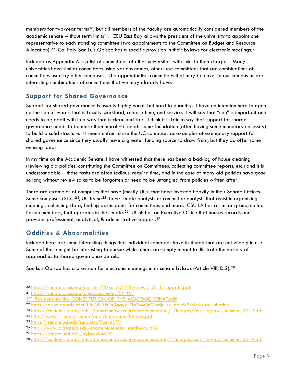members for two-year terms<sup>20</sup>, but all members of the faculty are automatically considered members of the academic senate without term limits<sup>[21](#page-9-1)</sup>. CSU East Bay allows the president of the university to appoint one representative to each standing committee (two appointments to the Committee on Budget and Resource Allocation).<sup>22</sup> Cal Poly San Luis Obispo has a specific provision in their bylaws for electronic meetings.<sup>[23](#page-9-3)</sup>

Included as Appendix A is a list of committees at other universities with links to their charges. Many universities have similar committees using various names; others use committees that are combinations of committees used by other campuses. The appendix lists committees that may be novel to our campus or are interesting combinations of committees that we may already have.

## **Support for Shared Governance**

Support for shared governance is usually highly vocal, but hard to quantify. I have no intention here to open up the can of worms that is faculty workload, release time, and service. I will say that "can" is important and needs to be dealt with in a way that is clear and fair. I think it is fair to say that support for shared governance needs to be more than moral – it needs some foundation (often having some monetary necessity) to build a solid structure. It seems unfair to use the UC campuses as examples of exemplary support for shared governance since they usually have a greater funding source to draw from, but they do offer some enticing ideas.

In my time on the Academic Senate, I have witnessed that there has been a backlog of house cleaning (reviewing old policies, constituting the Committee on Committees, collecting committee reports, etc.) and it is understandable – these tasks are often tedious, require time, and in the case of many old policies have gone so long without review so as to be forgotten or need to be untangled from policies written after.

There are examples of campuses that have (mostly UCs) that have invested heavily in their Senate Offices. Some campuses (SJSU<sup>[24](#page-9-4)</sup>, UC Irvine<sup>25</sup>) have senate analysts or committee analysts that assist in organizing meetings, collecting data, finding participants for committees and more. CSU LA has a similar group, called liaison members, that operates in the senate.<sup>[26](#page-9-6)</sup> UCSF has an Executive Office that houses records and provides professional, analytical, & administrative support.[27](#page-9-7)

# **Oddities & Abnormalities**

Included here are some interesting things that individual campuses have instituted that are not widely in use. Some of these might be interesting to pursue while others are simply meant to illustrate the variety of approaches to shared governance details.

San Luis Obispo has a provision for electronic meetings in its senate bylaws (Article VIII, D.2).<sup>[28](#page-9-8)</sup>

<span id="page-9-1"></span><sup>21</sup> [https://senate.csuci.edu/otherdocuments/SP\\_07-](https://senate.csuci.edu/otherdocuments/SP_07-17_Revisions_to_the_CONSTITUTION_OF_THE_ACADEMIC_SENAT.pdf)

<span id="page-9-0"></span> <sup>20</sup> <https://senate.csuci.edu/policies/2016-2017/bylaws-7-21-17-update.pdf>

<sup>17</sup> Revisions to the CONSTITUTION OF THE ACADEMIC SENAT.pdf

<span id="page-9-2"></span><sup>22</sup> [https://drive.google.com/file/d/1FCa0ggyk\\_TbCb4GnOnMjr\\_sx\\_6olelkR/view?usp=sharing](https://drive.google.com/file/d/1FCa0ggyk_TbCb4GnOnMjr_sx_6olelkR/view?usp=sharing)

<span id="page-9-3"></span><sup>23</sup> [https://content-calpoly-edu.s3.amazonaws.com/academicsenate/1/images/const\\_bylaws\\_summer\\_2019.pdf](https://content-calpoly-edu.s3.amazonaws.com/academicsenate/1/images/const_bylaws_summer_2019.pdf)

<span id="page-9-4"></span><sup>24</sup> <http://www.sjsu.edu/senate/docs/handbook/bylaws.pdf>

<span id="page-9-5"></span><sup>25</sup> <https://senate.uci.edu/senate-office-staff/>

<span id="page-9-6"></span><sup>26</sup> <http://www.calstatela.edu/academicsenate/handbook/ch2>

<span id="page-9-7"></span><sup>27</sup> <https://senate.ucsf.edu/bylaws#no25>

<span id="page-9-8"></span><sup>28</sup> [https://content-calpoly-edu.s3.amazonaws.com/academicsenate/1/images/const\\_bylaws\\_summer\\_2019.pdf](https://content-calpoly-edu.s3.amazonaws.com/academicsenate/1/images/const_bylaws_summer_2019.pdf)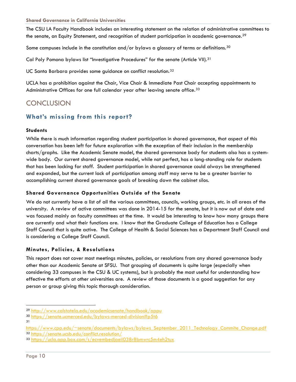#### **Shared Governance in California Universities**

The CSU LA Faculty Handbook includes an interesting statement on the relation of administrative committees to the senate, an Equity Statement, and recognition of student participation in academic governance.<sup>[29](#page-10-0)</sup>

Some campuses include in the constitution and/or bylaws a glossary of terms or definitions.<sup>[30](#page-10-1)</sup>

Cal Poly Pomona bylaws list "Investigative Procedures" for the senate (Article VII).[31](#page-10-2)

UC Santa Barbara provides some guidance on conflict resolution.<sup>[32](#page-10-3)</sup>

UCLA has a prohibition against the Chair, Vice Chair & Immediate Past Chair accepting appointments to Administrative Offices for one full calendar year after leaving senate office.<sup>[33](#page-10-4)</sup>

# **CONCLUSION**

# **What's missing from this report?**

#### **Students**

While there is much information regarding student participation in shared governance, that aspect of this conversation has been left for future exploration with the exception of their inclusion in the membership charts/graphs. Like the Academic Senate model, the shared governance body for students also has a systemwide body. Our current shared governance model, while not perfect, has a long-standing role for students that has been lacking for staff. Student participation in shared governance could always be strengthened and expanded, but the current lack of participation among staff may serve to be a greater barrier to accomplishing current shared governance goals of breaking down the cabinet silos.

### **Shared Governance Opportunities Outside of the Senate**

We do not currently have a list of all the various committees, councils, working groups, etc. in all areas of the university. A review of active committees was done in 2014-15 for the senate, but it is now out of date and was focused mainly on faculty committees at the time. It would be interesting to know how many groups there are currently and what their functions are. I know that the Graduate College of Education has a College Staff Council that is quite active. The College of Health & Social Sciences has a Department Staff Council and is considering a College Staff Council.

### **Minutes, Policies, & Resolutions**

This report does not cover most meetings minutes, policies, or resolutions from any shared governance body other than our Academic Senate at SFSU. That grouping of documents is quite large (especially when considering 33 campuses in the CSU & UC systems), but is probably the most useful for understanding how effective the efforts at other universities are. A review of those documents is a good suggestion for any person or group giving this topic thorough consideration.

31

<span id="page-10-0"></span> <sup>29</sup> <http://www.calstatela.edu/academicsenate/handbook/appu>

<span id="page-10-1"></span><sup>30</sup> <https://senate.ucmerced.edu/bylaws-merced-division#p5t6>

<span id="page-10-3"></span><span id="page-10-2"></span>https://www.cpp.edu/~senate/documents/bylaws/bylaws September 2011 Technology Commite Change.pdf <sup>32</sup> <https://senate.ucsb.edu/conflict.resolution/>

<span id="page-10-4"></span><sup>33</sup> <https://ucla.app.box.com/s/ecvembedjaeii038r8bmwrc5m4eh2tux>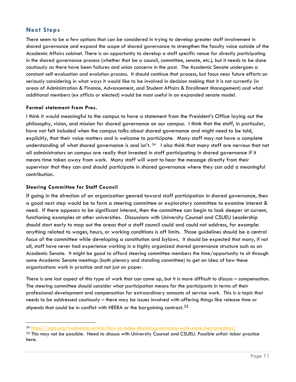## **Next Steps**

There seem to be a few options that can be considered in trying to develop greater staff involvement in shared governance and expand the scope of shared governance to strengthen the faculty voice outside of the Academic Affairs cabinet. There is an opportunity to develop a staff specific venue for directly participating in the shared governance process (whether that be a council, committee, senate, etc.), but it needs to be done cautiously as there have been failures and union concerns in the past. The Academic Senate undergoes a constant self-evaluation and evolution process. It should continue that process, but focus near future efforts on seriously considering in what ways it would like to be involved in decision making that it is not currently (in areas of Administration & Finance, Advancement, and Student Affairs & Enrollment Management) and what additional members (ex officio or elected) would be most useful in an expanded senate model.

### **Formal statement from Pres.**

I think it would meaningful to the campus to have a statement from the President's Office laying out the philosophy, vision, and mission for shared governance on our campus. I think that the staff, in particular, have not felt included when the campus talks about shared governance and might need to be told, explicitly, that their voice matters and is welcome to participate. Many staff may not have a complete understanding of what shared governance is and isn't. [34](#page-11-0) I also think that many staff are nervous that not all administrators on campus are really that invested in staff participating in shared governance if it means time taken away from work. Many staff will want to hear the message directly from their supervisor that they can and should participate in shared governance where they can add a meaningful contribution.

## **Steering Committee for Staff Council**

If going in the direction of an organization geared toward staff participation in shared governance, then a good next step would be to form a steering committee or exploratory committee to examine interest & need. If there appears to be significant interest, then the committee can begin to look deeper at current, functioning examples at other universities. Discussions with University Counsel and CSUEU Leadership should start early to map out the areas that a staff council could and could not address, for example: anything related to wages, hours, or working conditions is off limits. Those guidelines should be a central focus of the committee while developing a constitution and bylaws. It should be expected that many, if not all, staff have never had experience working in a highly organized shared governance structure such as an Academic Senate. It might be good to afford steering committee members the time/opportunity to sit through some Academic Senate meetings (both plenary and standing committee) to get an idea of how these organizations work in practice and not just on paper.

There is one last aspect of this type of work that can come up, but it is more difficult to discuss – compensation. The steering committee should consider what participation means for the participants in terms of their professional development and compensation for extraordinary amounts of service work. This is a topic that needs to be addressed cautiously – there may be issues involved with offering things like release time or stipends that could be in conflict with HEERA or the bargaining contract.<sup>[35](#page-11-1)</sup>

<span id="page-11-0"></span> <sup>34</sup> <https://agb.org/trusteeship-article/how-to-make-shared-governance-work-some-best-practices/>

<span id="page-11-1"></span><sup>35</sup> This may not be possible. Need to discuss with University Counsel and CSUEU. Possible unfair labor practice here.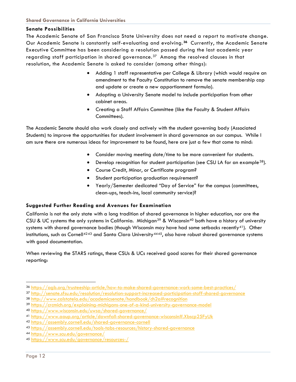### **Senate Possibilities**

The Academic Senate of San Francisco State University does not need a report to motivate change. Our Academic Senate is constantly self-evaluating and evolving. **[36](#page-12-0)** Currently, the Academic Senate Executive Committee has been considering a resolution passed during the last academic year regarding staff participation in shared governance.<sup>[37](#page-12-1)</sup> Among the resolved clauses in that resolution, the Academic Senate is asked to consider (among other things):

- Adding 1 staff representative per College & Library (which would require an amendment to the Faculty Constitution to remove the senate membership cap and update or create a new apportionment formula).
- Adopting a University Senate model to include participation from other cabinet areas.
- Creating a Staff Affairs Committee (like the Faculty & Student Affairs Committees).

The Academic Senate should also work closely and actively with the student governing body (Associated Students) to improve the opportunities for student involvement in shard governance on our campus. While I am sure there are numerous ideas for improvement to be found, here are just a few that come to mind:

- Consider moving meeting date/time to be more convenient for students.
- Develop recognition for student participation (see CSU LA for an example<sup>[38](#page-12-2)</sup>).
- Course Credit, Minor, or Certificate program?
- Student participation graduation requirement?
- Yearly/Semester dedicated "Day of Service" for the campus (committees, clean-ups, teach-ins, local community service)?

### **Suggested Further Reading and Avenues for Examination**

California is not the only state with a long tradition of shared governance in higher education, nor are the CSU & UC systems the only systems in California. Michigan<sup>[39](#page-12-3)</sup> & Wisconsin<sup>[40](#page-12-4)</sup> both have a history of university systems with shared governance bodies (though Wisconsin may have had some setbacks recently<sup>41</sup>). Other institutions, such as Cornell<sup>[42](#page-12-6)[43](#page-12-7)</sup> and Santa Clara University<sup>[44](#page-12-8)[45](#page-12-9)</sup>, also have robust shared governance systems with good documentation.

When reviewing the STARS ratings, these CSUs & UCs received good scores for their shared governance reporting:

<span id="page-12-0"></span> <sup>36</sup> <https://agb.org/trusteeship-article/how-to-make-shared-governance-work-some-best-practices/>

<span id="page-12-1"></span><sup>37</sup> <http://senate.sfsu.edu/resolution/resolution-support-increased-participation-staff-shared-governance>

<span id="page-12-2"></span><sup>38</sup> <http://www.calstatela.edu/academicsenate/handbook/ch2a#recognition>

<span id="page-12-3"></span><sup>39</sup> <https://crcmich.org/explaining-michigans-one-of-a-kind-university-governance-model>

<span id="page-12-4"></span><sup>40</sup> <https://www.wisconsin.edu/uwsa/shared-governance/>

<span id="page-12-5"></span><sup>41</sup> <https://www.aaup.org/article/downfall-shared-governance-wisconsin#.Xbscp25FyUk>

<span id="page-12-6"></span><sup>42</sup> <https://assembly.cornell.edu/shared-governance-cornell>

<span id="page-12-7"></span><sup>43</sup> <https://assembly.cornell.edu/tools-tabs-resources/history-shared-governance>

<span id="page-12-8"></span><sup>44</sup> <https://www.scu.edu/governance/>

<span id="page-12-9"></span><sup>45</sup> <https://www.scu.edu/governance/resources-/>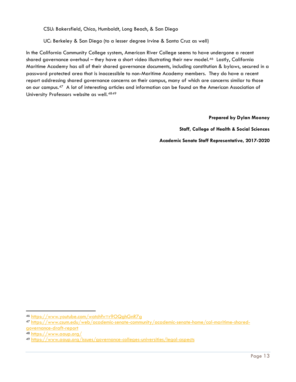CSU: Bakersfield, Chico, Humboldt, Long Beach, & San Diego

UC: Berkeley & San Diego (to a lesser degree Irvine & Santa Cruz as well)

In the California Community College system, American River College seems to have undergone a recent shared governance overhaul – they have a short video illustrating their new model.<sup>46</sup> Lastly, California Maritime Academy has all of their shared governance documents, including constitution & bylaws, secured in a password protected area that is inaccessible to non-Maritime Academy members. They do have a recent report addressing shared governance concerns on their campus, many of which are concerns similar to those on our campus.[47](#page-13-1) A lot of interesting articles and information can be found on the American Association of University Professors website as well.[48](#page-13-2)[49](#page-13-3)

**Prepared by Dylan Mooney** 

**Staff, College of Health & Social Sciences** 

**Academic Senate Staff Representative, 2017-2020**

<span id="page-13-0"></span> <sup>46</sup> <https://www.youtube.com/watch?v=r9OQghGnR7g>

<span id="page-13-1"></span><sup>47</sup> [https://www.csum.edu/web/academic-senate-community/academic-senate-home/cal-maritime-shared](https://www.csum.edu/web/academic-senate-community/academic-senate-home/cal-maritime-shared-governance-draft-report)[governance-draft-report](https://www.csum.edu/web/academic-senate-community/academic-senate-home/cal-maritime-shared-governance-draft-report)

<span id="page-13-2"></span><sup>48</sup> <https://www.aaup.org/>

<span id="page-13-3"></span><sup>49</sup> <https://www.aaup.org/issues/governance-colleges-universities/legal-aspects>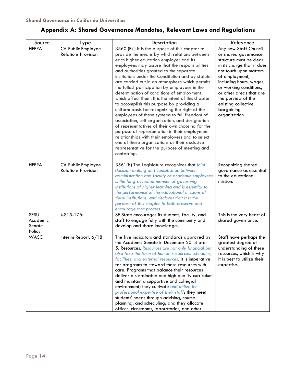# **Appendix A: Shared Governance Mandates, Relevant Laws and Regulations**

| Source                                      | Type                                             | Description                                                                                                                                                                                                                                                                                                                                                                                                                                                                                                                                                                                                                                                                                                                                                                                                                                                                                                                                                                      | Relevance                                                                                                                                                                                                                                                                                                      |
|---------------------------------------------|--------------------------------------------------|----------------------------------------------------------------------------------------------------------------------------------------------------------------------------------------------------------------------------------------------------------------------------------------------------------------------------------------------------------------------------------------------------------------------------------------------------------------------------------------------------------------------------------------------------------------------------------------------------------------------------------------------------------------------------------------------------------------------------------------------------------------------------------------------------------------------------------------------------------------------------------------------------------------------------------------------------------------------------------|----------------------------------------------------------------------------------------------------------------------------------------------------------------------------------------------------------------------------------------------------------------------------------------------------------------|
| <b>HEERA</b>                                | CA Public Employee<br><b>Relations Provision</b> | 3560 (E) ) It is the purpose of this chapter to<br>provide the means by which relations between<br>each higher education employer and its<br>employees may assure that the responsibilities<br>and authorities granted to the separate<br>institutions under the Constitution and by statute<br>are carried out in an atmosphere which permits<br>the fullest participation by employees in the<br>determination of conditions of employment<br>which affect them. It is the intent of this chapter<br>to accomplish this purpose by providing a<br>uniform basis for recognizing the right of the<br>employees of these systems to full freedom of<br>association, self-organization, and designation<br>of representatives of their own choosing for the<br>purpose of representation in their employment<br>relationships with their employers and to select<br>one of these organizations as their exclusive<br>representative for the purpose of meeting and<br>conferring. | Any new Staff Council<br>or shared governance<br>structure must be clear<br>in its charge that it does<br>not touch upon matters<br>of employment,<br>including hours, wages,<br>or working conditions,<br>or other areas that are<br>the purview of the<br>existing collective<br>bargaining<br>organization. |
| <b>HEERA</b>                                | CA Public Employee<br><b>Relations Provision</b> | 3561(b) The Legislature recognizes that joint<br>decision making and consultation between<br>administration and faculty or academic employees<br>is the long-accepted manner of governing<br>institutions of higher learning and is essential to<br>the performance of the educational missions of<br>these institutions, and declares that it is the<br>purpose of this chapter to both preserve and<br>encourage that process.                                                                                                                                                                                                                                                                                                                                                                                                                                                                                                                                                 | Recognizing shared<br>governance as essential<br>to the educational<br>mission.                                                                                                                                                                                                                                |
| <b>SFSU</b><br>Academic<br>Senate<br>Policy | #S15-176:                                        | SF State encourages its students, faculty, and<br>staff to engage fully with the community and<br>develop and share knowledge.                                                                                                                                                                                                                                                                                                                                                                                                                                                                                                                                                                                                                                                                                                                                                                                                                                                   | This is the very heart of<br>shared governance.                                                                                                                                                                                                                                                                |
| WASC                                        | Interim Report, 6/18                             | The five indicators and standards approved by<br>the Academic Senate in December 2014 are:<br>5. Resources. Resources are not only financial but<br>also take the form of human resources, schedules,<br>facilities, and external resources; it is imperative<br>for programs to steward these resources with<br>care. Programs that balance their resources<br>deliver a sustainable and high quality curriculum<br>and maintain a supportive and collegial<br>environment; they cultivate and utilize the<br>professional expertise of their staff; they meet<br>students' needs through advising, course<br>planning, and scheduling; and they allocate<br>offices, classrooms, laboratories, and other                                                                                                                                                                                                                                                                       | Staff have perhaps the<br>greatest degree of<br>understanding of these<br>resources, which is why<br>it is best to utilize their<br>expertise.                                                                                                                                                                 |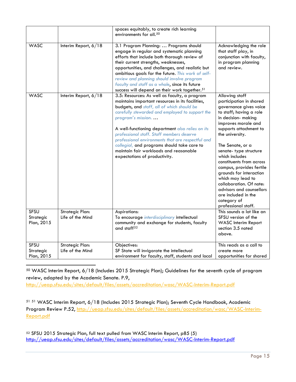|                                        |                                            | spaces equitably, to create rich learning<br>environments for all. <sup>50</sup>                                                                                                                                                                                                                                                                                                                                                                                                                        |                                                                                                                                                                                                                                                                                                                                                                                                                                                                                      |
|----------------------------------------|--------------------------------------------|---------------------------------------------------------------------------------------------------------------------------------------------------------------------------------------------------------------------------------------------------------------------------------------------------------------------------------------------------------------------------------------------------------------------------------------------------------------------------------------------------------|--------------------------------------------------------------------------------------------------------------------------------------------------------------------------------------------------------------------------------------------------------------------------------------------------------------------------------------------------------------------------------------------------------------------------------------------------------------------------------------|
| <b>WASC</b>                            | Interim Report, 6/18                       | 3.1 Program Planning:  Programs should<br>engage in regular and systematic planning<br>efforts that include both thorough review of<br>their current strengths, weaknesses,<br>opportunities, and challenges, and realistic but<br>ambitious goals for the future. This work of self-<br>review and planning should involve program<br>faculty and staff as a whole, since its future<br>success will depend on their work together. <sup>51</sup>                                                      | Acknowledging the role<br>that staff play, in<br>conjunction with faculty,<br>in program planning<br>and review.                                                                                                                                                                                                                                                                                                                                                                     |
| <b>WASC</b>                            | Interim Report, 6/18                       | 3.5: Resources: As well as faculty, a program<br>maintains important resources in its facilities,<br>budgets, and staff, all of which should be<br>carefully stewarded and employed to support the<br>program's mission<br>A well-functioning department also relies on its<br>professional staff. Staff members deserve<br>professional environments that are respectful and<br>collegial, and programs should take care to<br>maintain fair workloads and reasonable<br>expectations of productivity. | Allowing staff<br>participation in shared<br>governance gives voice<br>to staff; having a role<br>in decision- making<br>improves morale and<br>supports attachment to<br>the university.<br>The Senate, or a<br>senate-type structure<br>which includes<br>constituents from across<br>campus, provides fertile<br>grounds for interaction<br>which may lead to<br>collaboration. Of note:<br>advisors and counsellors<br>are included in the<br>category of<br>professional staff. |
| <b>SFSU</b><br>Strategic<br>Plan, 2015 | <b>Strategic Plan:</b><br>Life of the Mind | Aspirations:<br>To encourage interdisciplinary intellectual<br>community and exchange for students, faculty<br>and staff <sup>52</sup>                                                                                                                                                                                                                                                                                                                                                                  | This sounds a lot like an<br>SFSU version of the<br><b>WASC</b> Interim Report<br>section 3.5 noted<br>above.                                                                                                                                                                                                                                                                                                                                                                        |
| SFSU<br>Strategic<br>Plan, 2015        | <b>Strategic Plan:</b><br>Life of the Mind | Objectives:<br>SF State will invigorate the intellectual<br>environment for faculty, staff, students and local                                                                                                                                                                                                                                                                                                                                                                                          | This reads as a call to<br>create more<br>opportunities for shared                                                                                                                                                                                                                                                                                                                                                                                                                   |

<span id="page-15-0"></span> 50 WASC Interim Report, 6/18 (Includes 2015 Strategic Plan); Guidelines for the seventh cycle of program review, adopted by the Academic Senate. P.9, <http://ueap.sfsu.edu/sites/default/files/assets/accreditation/wasc/WASC-Interim-Report.pdf>

<span id="page-15-1"></span><sup>51</sup> <sup>51</sup> WASC Interim Report, 6/18 (Includes 2015 Strategic Plan); Seventh Cycle Handbook, Academic Program Review P.52, [http://ueap.sfsu.edu/sites/default/files/assets/accreditation/wasc/WASC-Interim-](http://ueap.sfsu.edu/sites/default/files/assets/accreditation/wasc/WASC-Interim-Report.pdf)[Report.pdf](http://ueap.sfsu.edu/sites/default/files/assets/accreditation/wasc/WASC-Interim-Report.pdf)

<span id="page-15-2"></span><sup>52</sup> SFSU 2015 Strategic Plan, full text pulled from WASC Interim Report, p85 (5) <http://ueap.sfsu.edu/sites/default/files/assets/accreditation/wasc/WASC-Interim-Report.pdf>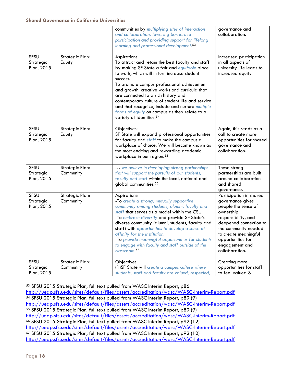|                                        |                                     | communities by multiplying sites of interaction<br>and collaboration, lowering barriers to<br>participation and providing support for lifelong<br>learning and professional development. <sup>53</sup>                                                                                                                                                                                                                                                                                                               | governance and<br>collaboration.                                                                                                                                                                                                           |
|----------------------------------------|-------------------------------------|----------------------------------------------------------------------------------------------------------------------------------------------------------------------------------------------------------------------------------------------------------------------------------------------------------------------------------------------------------------------------------------------------------------------------------------------------------------------------------------------------------------------|--------------------------------------------------------------------------------------------------------------------------------------------------------------------------------------------------------------------------------------------|
| <b>SFSU</b><br>Strategic<br>Plan, 2015 | <b>Strategic Plan:</b><br>Equity    | Aspirations:<br>To attract and retain the best faculty and staff<br>by making SF State a fair and equitable place<br>to work, which will in turn increase student<br>success.<br>To promote campus professional achievement<br>and growth, creative works and curricula that<br>are connected to a rich history and<br>contemporary culture of student life and service<br>and that recognize, include and nurture multiple<br>forms of equity on campus as they relate to a<br>variety of identities. <sup>54</sup> | Increased participation<br>in all aspects of<br>university life leads to<br>increased equity                                                                                                                                               |
| <b>SFSU</b><br>Strategic<br>Plan, 2015 | <b>Strategic Plan:</b><br>Equity    | Objectives:<br>SF State will expand professional opportunities<br>for faculty and staff to make the campus a<br>workplace of choice. We will become known as<br>the most exciting and rewarding academic<br>workplace in our region. <sup>55</sup>                                                                                                                                                                                                                                                                   | Again, this reads as a<br>call to create more<br>opportunities for shared<br>governance and<br>collaboration.                                                                                                                              |
| <b>SFSU</b><br>Strategic<br>Plan, 2015 | <b>Strategic Plan:</b><br>Community | we believe in developing strong partnerships<br>that will support the pursuits of our students,<br>faculty and staff within the local, national and<br>global communities. <sup>56</sup>                                                                                                                                                                                                                                                                                                                             | These strong<br>partnerships are built<br>around collaboration<br>and shared<br>governance.                                                                                                                                                |
| SFSU<br>Strategic<br>Plan, 2015        | <b>Strategic Plan:</b><br>Community | Aspirations:<br>-To create a strong, mutually supportive<br>community among students, alumni, faculty and<br>staff that serves as a model within the CSU.<br>-To embrace diversity and provide SF State's<br>diverse community (alumni, students, faculty and<br>staff) with opportunities to develop a sense of<br>affinity for the institution.<br>-To provide meaningful opportunities for students<br>to engage with faculty and staff outside of the<br>classroom. <sup>57</sup>                                | Participation in shared<br>governance gives<br>people the sense of<br>ownership,<br>responsibility, and<br>deepened connection to<br>the community needed<br>to create meaningful<br>opportunities for<br>engagement and<br>collaboration. |
| <b>SFSU</b><br>Strategic<br>Plan, 2015 | <b>Strategic Plan:</b><br>Community | Objectives:<br>(1) SF State will create a campus culture where<br>students, staff and faculty are valued, respected,                                                                                                                                                                                                                                                                                                                                                                                                 | Creating more<br>opportunities for staff<br>to feel valued &                                                                                                                                                                               |

<span id="page-16-4"></span><span id="page-16-3"></span><span id="page-16-2"></span><span id="page-16-1"></span><span id="page-16-0"></span> 53 SFSU 2015 Strategic Plan, full text pulled from WASC Interim Report, p86 <http://ueap.sfsu.edu/sites/default/files/assets/accreditation/wasc/WASC-Interim-Report.pdf> <sup>54</sup> SFSU 2015 Strategic Plan, full text pulled from WASC Interim Report, p89 (9) <http://ueap.sfsu.edu/sites/default/files/assets/accreditation/wasc/WASC-Interim-Report.pdf> <sup>55</sup> SFSU 2015 Strategic Plan, full text pulled from WASC Interim Report, p89 (9) <http://ueap.sfsu.edu/sites/default/files/assets/accreditation/wasc/WASC-Interim-Report.pdf> <sup>56</sup> SFSU 2015 Strategic Plan, full text pulled from WASC Interim Report, p92 (12) <http://ueap.sfsu.edu/sites/default/files/assets/accreditation/wasc/WASC-Interim-Report.pdf> <sup>57</sup> SFSU 2015 Strategic Plan, full text pulled from WASC Interim Report, p92 (12) <http://ueap.sfsu.edu/sites/default/files/assets/accreditation/wasc/WASC-Interim-Report.pdf>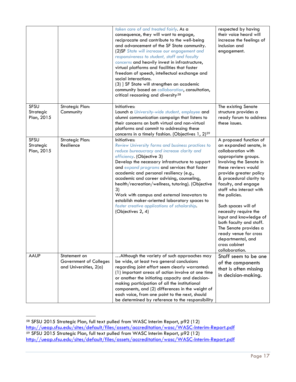|                                 |                                                                  | taken care of and treated fairly. As a<br>consequence, they will want to engage,<br>reciprocate and contribute to the well-being<br>and advancement of the SF State community.<br>(2)SF State will increase our engagement and<br>responsiveness to student, staff and faculty<br>concerns and heavily invest in infrastructure,<br>virtual platforms and facilities that foster<br>freedom of speech, intellectual exchange and<br>social interactions.<br>(3) ] SF State will strengthen an academic<br>community based on collaboration, consultation,<br>critical reasoning and diversity <sup>58</sup> | respected by having<br>their voice heard will<br>increase the feelings of<br>inclusion and<br>engagement.                                                                                                                                                                                                                                                                                                                                                                              |
|---------------------------------|------------------------------------------------------------------|-------------------------------------------------------------------------------------------------------------------------------------------------------------------------------------------------------------------------------------------------------------------------------------------------------------------------------------------------------------------------------------------------------------------------------------------------------------------------------------------------------------------------------------------------------------------------------------------------------------|----------------------------------------------------------------------------------------------------------------------------------------------------------------------------------------------------------------------------------------------------------------------------------------------------------------------------------------------------------------------------------------------------------------------------------------------------------------------------------------|
| SFSU<br>Strategic<br>Plan, 2015 | <b>Strategic Plan:</b><br>Community                              | Initiatives:<br>Launch a University-wide student, employee and<br>alumni communication campaign that listens to<br>their concerns on both virtual and non-virtual<br>platforms and commit to addressing these<br>concerns in a timely fashion. (Objectives 1, 2) <sup>59</sup>                                                                                                                                                                                                                                                                                                                              | The existing Senate<br>structure provides a<br>ready forum to address<br>these issues.                                                                                                                                                                                                                                                                                                                                                                                                 |
| SFSU<br>Strategic<br>Plan, 2015 | Strategic Plan:<br>Resilience                                    | Initiatives:<br><b>Review University forms and business practices to</b><br>reduce bureaucracy and increase clarity and<br>efficiency. (Objective 3)<br>Develop the necessary infrastructure to support<br>and expand programs and services that foster<br>academic and personal resiliency (e.g.,<br>academic and career advising, counseling,<br>health/recreation/wellness, tutoring). (Objective<br>3)<br>Work with campus and external innovators to<br>establish maker-oriented laboratory spaces to<br>foster creative applications of scholarship.<br>(Objectives 2, 4)                             | A proposed function of<br>an expanded senate, in<br>collaboration with<br>appropriate groups.<br>Involving the Senate in<br>these reviews would<br>provide greater policy<br>& procedural clarity to<br>faculty, and engage<br>staff who interact with<br>the policies.<br>Such spaces will of<br>necessity require the<br>input and knowledge of<br>both faculty and staff.<br>The Senate provides a<br>ready venue for cross<br>departmental, and<br>cross cabinet<br>collaboration. |
| <b>AAUP</b>                     | Statement on<br>Government of Colleges<br>and Universities, 2(a) | Although the variety of such approaches may<br>be wide, at least two general conclusions<br>regarding joint effort seem clearly warranted:<br>(1) important areas of action involve at one time<br>or another the initiating capacity and decision-<br>making participation of all the institutional<br>components, and (2) differences in the weight of<br>each voice, from one point to the next, should<br>be determined by reference to the responsibility                                                                                                                                              | Staff seem to be one<br>of the components<br>that is often missing<br>in decision-making.                                                                                                                                                                                                                                                                                                                                                                                              |

<span id="page-17-1"></span><span id="page-17-0"></span> <sup>58</sup> SFSU 2015 Strategic Plan, full text pulled from WASC Interim Report, p92 (12) <http://ueap.sfsu.edu/sites/default/files/assets/accreditation/wasc/WASC-Interim-Report.pdf> <sup>59</sup> SFSU 2015 Strategic Plan, full text pulled from WASC Interim Report, p92 (12) <http://ueap.sfsu.edu/sites/default/files/assets/accreditation/wasc/WASC-Interim-Report.pdf>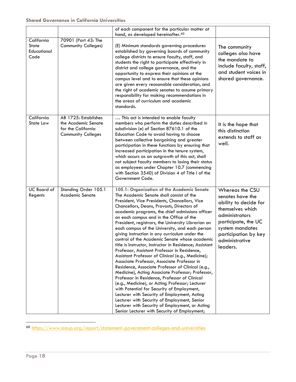|                                                   |                                                                                                | of each component for the particular matter at<br>hand, as developed hereinafter. <sup>60</sup>                                                                                                                                                                                                                                                                                                                                                                                                                                                                                                                                                                                                                                                                                                                                                                                                                                                                                                                                                                                                                                                                              |                                                                                                                                                                                                    |
|---------------------------------------------------|------------------------------------------------------------------------------------------------|------------------------------------------------------------------------------------------------------------------------------------------------------------------------------------------------------------------------------------------------------------------------------------------------------------------------------------------------------------------------------------------------------------------------------------------------------------------------------------------------------------------------------------------------------------------------------------------------------------------------------------------------------------------------------------------------------------------------------------------------------------------------------------------------------------------------------------------------------------------------------------------------------------------------------------------------------------------------------------------------------------------------------------------------------------------------------------------------------------------------------------------------------------------------------|----------------------------------------------------------------------------------------------------------------------------------------------------------------------------------------------------|
| California<br><b>State</b><br>Educational<br>Code | 70901 (Part 43: The<br><b>Community Colleges)</b>                                              | (E) Minimum standards governing procedures<br>established by governing boards of community<br>college districts to ensure faculty, staff, and<br>students the right to participate effectively in<br>district and college governance, and the<br>opportunity to express their opinions at the<br>campus level and to ensure that these opinions<br>are given every reasonable consideration, and<br>the right of academic senates to assume primary<br>responsibility for making recommendations in<br>the areas of curriculum and academic<br>standards.                                                                                                                                                                                                                                                                                                                                                                                                                                                                                                                                                                                                                    | The community<br>colleges also have<br>the mandate to<br>include faculty, staff,<br>and student voices in<br>shared governance.                                                                    |
| California<br>State Law                           | AB 1725: Establishes<br>the Academic Senate<br>for the California<br><b>Community Colleges</b> | This act is intended to enable faculty<br>members who perform the duties described in<br>subdivision (e) of Section 87610.1 of the<br>Education Code to avoid having to choose<br>between collective bargaining and greater<br>participation in these functions by ensuring that<br>increased participation in the tenure system,<br>which occurs as an outgrowth of this act, shall<br>not subject faculty members to losing their status<br>as employees under Chapter 10.7 (commencing<br>with Section 3540) of Division 4 of Title I of the<br>Government Code.                                                                                                                                                                                                                                                                                                                                                                                                                                                                                                                                                                                                          | It is the hope that<br>this distinction<br>extends to staff as<br>well.                                                                                                                            |
| <b>UC</b> Board of<br>Regents                     | Standing Order 105.1<br><b>Academic Senate</b>                                                 | 105.1: Organization of the Academic Senate<br>The Academic Senate shall consist of the<br>President, Vice Presidents, Chancellors, Vice<br>Chancellors, Deans, Provosts, Directors of<br>academic programs, the chief admissions officer<br>on each campus and in the Office of the<br>President, registrars, the University Librarian on<br>each campus of the University, and each person<br>giving instruction in any curriculum under the<br>control of the Academic Senate whose academic<br>title is Instructor, Instructor in Residence; Assistant<br>Professor, Assistant Professor in Residence,<br>Assistant Professor of Clinical (e.g., Medicine);<br>Associate Professor, Associate Professor in<br>Residence, Associate Professor of Clinical (e.g.,<br>Medicine), Acting Associate Professor; Professor,<br>Professor in Residence, Professor of Clinical<br>(e.g., Medicine), or Acting Professor; Lecturer<br>with Potential for Security of Employment,<br>Lecturer with Security of Employment, Acting<br>Lecturer with Security of Employment, Senior<br>Lecturer with Security of Employment, or Acting<br>Senior Lecturer with Security of Employment; | Whereas the CSU<br>senates have the<br>ability to decide for<br>themselves which<br>administrators<br>participate, the UC<br>system mandates<br>participation by key<br>administrative<br>leaders. |

<span id="page-18-0"></span>60 <https://www.aaup.org/report/statement-government-colleges-and-universities>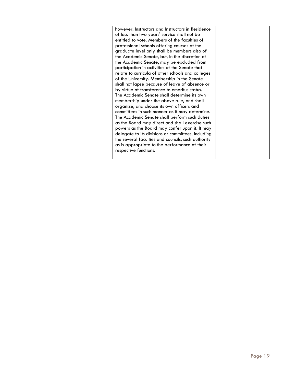|  | however, Instructors and Instructors in Residence<br>of less than two years' service shall not be<br>entitled to vote. Members of the faculties of<br>professional schools offering courses at the<br>graduate level only shall be members also of<br>the Academic Senate, but, in the discretion of<br>the Academic Senate, may be excluded from<br>participation in activities of the Senate that<br>relate to curricula of other schools and colleges<br>of the University. Membership in the Senate<br>shall not lapse because of leave of absence or<br>by virtue of transference to emeritus status.<br>The Academic Senate shall determine its own<br>membership under the above rule, and shall<br>organize, and choose its own officers and<br>committees in such manner as it may determine.<br>The Academic Senate shall perform such duties<br>as the Board may direct and shall exercise such<br>powers as the Board may confer upon it. It may<br>delegate to its divisions or committees, including |  |
|--|--------------------------------------------------------------------------------------------------------------------------------------------------------------------------------------------------------------------------------------------------------------------------------------------------------------------------------------------------------------------------------------------------------------------------------------------------------------------------------------------------------------------------------------------------------------------------------------------------------------------------------------------------------------------------------------------------------------------------------------------------------------------------------------------------------------------------------------------------------------------------------------------------------------------------------------------------------------------------------------------------------------------|--|
|  | the several faculties and councils, such authority<br>as is appropriate to the performance of their<br>respective functions.                                                                                                                                                                                                                                                                                                                                                                                                                                                                                                                                                                                                                                                                                                                                                                                                                                                                                       |  |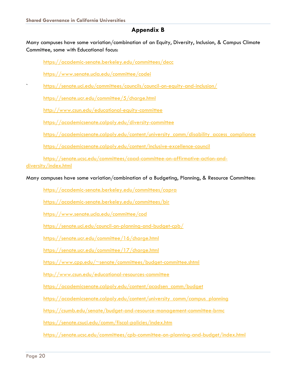# **Appendix B**

Many campuses have some variation/combination of an Equity, Diversity, Inclusion, & Campus Climate Committee, some with Educational focus:

<https://academic-senate.berkeley.edu/committees/decc>

<https://www.senate.ucla.edu/committee/codei>

` <https://senate.uci.edu/committees/councils/council-on-equity-and-inclusion/>

<https://senate.ucr.edu/committee/5/charge.html>

<http://www.csun.edu/educational-equity-committee>

<https://academicsenate.calpoly.edu/diversity-committee>

[https://academicsenate.calpoly.edu/content/university\\_comm/disability\\_access\\_compliance](https://academicsenate.calpoly.edu/content/university_comm/disability_access_compliance)

<https://academicsenate.calpoly.edu/content/inclusive-excellence-council>

[https://senate.ucsc.edu/committees/caad-committee-on-affirmative-action-and-](https://senate.ucsc.edu/committees/caad-committee-on-affirmative-action-and-diversity/index.html)

[diversity/index.html](https://senate.ucsc.edu/committees/caad-committee-on-affirmative-action-and-diversity/index.html)

Many campuses have some variation/combination of a Budgeting, Planning, & Resource Committee:

<https://academic-senate.berkeley.edu/committees/capra>

<https://academic-senate.berkeley.edu/committees/bir>

<https://www.senate.ucla.edu/committee/cod>

<https://senate.uci.edu/council-on-planning-and-budget-cpb/>

<https://senate.ucr.edu/committee/16/charge.html>

<https://senate.ucr.edu/committee/17/charge.html>

[https://www.cpp.edu/~senate/committees/budget-committee.shtml](https://www.cpp.edu/%7Esenate/committees/budget-committee.shtml)

<http://www.csun.edu/educational-resources-committee>

[https://academicsenate.calpoly.edu/content/acadsen\\_comm/budget](https://academicsenate.calpoly.edu/content/acadsen_comm/budget)

[https://academicsenate.calpoly.edu/content/university\\_comm/campus\\_planning](https://academicsenate.calpoly.edu/content/university_comm/campus_planning)

<https://csumb.edu/senate/budget-and-resource-management-committee-brmc>

<https://senate.csuci.edu/comm/fiscal-policies/index.htm>

<https://senate.ucsc.edu/committees/cpb-committee-on-planning-and-budget/index.html>